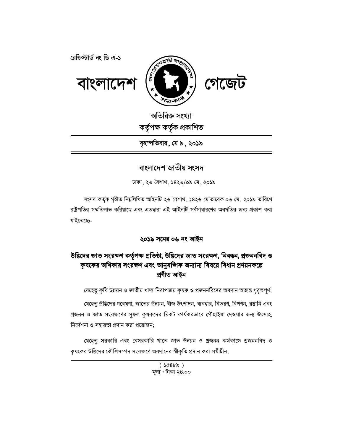



অতিরিক্ত সংখ্যা কৰ্তৃপক্ষ কৰ্তৃক প্ৰকাশিত

বৃহস্পতিবার, মে ৯, ২০১৯

# বাংলাদেশ জাতীয় সংসদ

ঢাকা, ২৬ বৈশাখ, ১৪২৬/০৯ মে, ২০১৯

সংসদ কৰ্তৃক গৃহীত নিম্নলিখিত আইনটি ২৬ বৈশাখ, ১৪২৬ মোতাবেক ০৬ মে, ২০১৯ তারিখে রাষ্ট্রপতির সম্মতিলাভ করিয়াছে এবং এতদ্বারা এই আইনটি সর্বসাধারণের অবগতির জন্য প্রকাশ করা যাইতেছে:-

# ২০১৯ সনের ০৬ নং আইন

# উদ্ভিদের জাত সংরক্ষণ কর্তৃপক্ষ প্রতিষ্ঠা, উদ্ভিদের জাত সংরক্ষণ, নিবন্ধন, প্রজননবিদ ও কৃষকের অধিকার সংরক্ষণ এবং আনুষজ্ঞিক অন্যান্য বিষয়ে বিধান প্রণয়নকল্পে প্ৰণীত আইন

যেহেতু কৃষি উন্নয়ন ও জাতীয় খাদ্য নিরাপত্তায় কৃষক ও প্রজননবিদের অবদান অত্যন্ত গুরুত্বপূর্ণ;

যেহেতু উদ্ভিদের গবেষণা, জাতের উন্নয়ন, বীজ উৎপাদন, ব্যবহার, বিতরণ, বিপণন, রপ্তানি এবং প্রজনন ও জাত সংরক্ষণের সুফল কৃষকদের নিকট কার্যকরভাবে পৌঁছাইয়া দেওয়ার জন্য উৎসাহ, নির্দেশনা ও সহায়তা প্রদান করা প্রয়োজন;

যেহেতু সরকারি এবং বেসরকারি খাতে জাত উন্নয়ন ও প্রজনন কর্মকাডে প্রজননবিদ ও কৃষকের উদ্ভিদের কৌলিসম্পদ সংরক্ষণে অবদানের স্বীকৃতি প্রদান করা সমীচীন;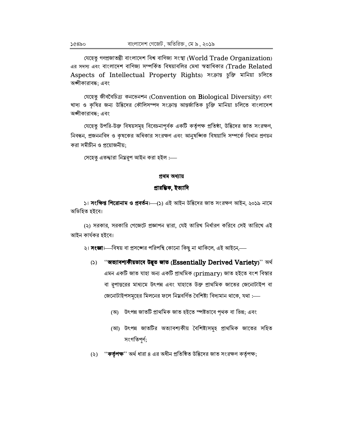যেহেতু গণপ্ৰজাতন্ত্ৰী বাংলাদেশ বিশ্ব বাণিজ্য সংস্থা (World Trade Organization) এর সদস্য এবং বাংলাদেশ বাণিজ্য সম্পর্কিত বিষয়াবলির মেধা স্বত্বাধিকার (Trade Related Aspects of Intellectual Property Rights) সংক্ৰান্ত চুক্তি মানিয়া চলিতে অঙ্গীকারাবদ্ধ; এবং

যেহেতু জীববৈচিত্ৰ্য কনভেনশন (Convention on Biological Diversity) এবং খাদ্য ও কৃষির জন্য উদ্ভিদের কৌলিসম্পদ সংক্রান্ত আন্তর্জাতিক চুক্তি মানিয়া চলিতে বাংলাদেশ অঙ্গীকারাবদ্ধ; এবং

যেহেতু উপরি-উক্ত বিষয়সমূহ বিবেচনাপূর্বক একটি কর্তৃপক্ষ প্রতিষ্ঠা, উদ্ভিদের জাত সংরক্ষণ, নিবন্ধন, প্রজননবিদ ও কৃষকের অধিকার সংরক্ষণ এবং আনুষজ্ঞিক বিষয়াদি সম্পর্কে বিধান প্রণয়ন করা সমীচীন ও প্রয়োজনীয়:

সেহেতু এতদ্দারা নিম্নরূপ আইন করা হইল :—

#### প্ৰথম অধ্যায়

## প্ৰাৱম্ভিক, ইত্যাদি

১। **সংক্ষিপ্ত শিরোনাম ও প্রবর্তন**। (১) এই আইন উদ্ভিদের জাত সংরক্ষণ আইন, ২০১৯ নামে অভিহিত হইবে।

(২) সরকার, সরকারি গেজেটে প্রজ্ঞাপন দ্বারা, যেই তারিখ নির্ধারণ করিবে সেই তারিখে এই আইন কাৰ্যকর হইবে।

২। **সংজ্ঞা**।—বিষয় বা প্রসঙ্গের পরিপন্থি কোনো কিছু না থাকিলে, এই আইনে,—

- (১) ''**অত্যাবশ্যকীয়ভাবে উদ্ভূত জাত (Essentially Derived Variety**)'' অৰ্থ এমন একটি জাত যাহা অন্য একটি প্ৰাথমিক (primary) জাত হইতে বংশ বিস্তার বা রূপান্তরের মাধ্যমে উৎপন্ন এবং যাহাতে উক্ত প্রাথমিক জাতের জেনোটাইপ বা জেনোটাইপসমূহের মিলনের ফলে নিম্নবর্ণিত বৈশিষ্ট্য বিদ্যমান থাকে, যথা :—
	- (অ) উৎপন্ন জাতটি প্রাথমিক জাত হইতে স্পষ্টভাবে পৃথক বা ভিন্ন; এবং
	- (আ) উৎপন্ন জাতটির অত্যাবশ্যকীয় বৈশিষ্ট্যসমূহ প্রাথমিক জাতের সহিত সংগতিপৰ্ণ;
- ''**কর্তৃপক্ষ**'' অর্থ ধারা ৪ এর অধীন প্রতিষ্ঠিত উদ্ভিদের জাত সংরক্ষণ কর্তৃপক্ষ;  $(5)$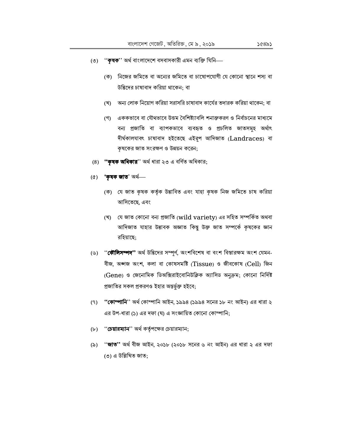- (৩) ''**কৃষক**'' অৰ্থ বাংলাদেশে বসবাসকারী এমন ব্যক্তি যিনি—
	- (ক) নিজের জমিতে বা অন্যের জমিতে বা চাষোপযোগী যে কোনো স্থানে শস্য বা উদ্ভিদের চাষাবাদ করিয়া থাকেন; বা
	- (খ) অন্য লোক নিয়োগ করিয়া সরাসরি চাষাবাদ কার্যের তদারক করিয়া থাকেন: বা
	- (গ) এককভাবে বা যৌথভাবে উত্তম বৈশিষ্ট্যাবলি শনাক্তকরণ ও নির্বাচনের মাধ্যমে বন্য প্রজাতি বা ব্যাপকভাবে ব্যবহৃত ও প্রচলিত জাতসমূহ অর্থাৎ দীৰ্ঘকালযাবৎ চাষাবাদ হইতেছে এইরূপ আদিজাত (Landraces) বা কৃষকের জাত সংরক্ষণ ও উন্নয়ন করেন;
- (8) "কৃষক অধিকার" অর্থ ধারা ২৩ এ বর্ণিত অধিকার;
- $(6)$  'কৃষক জাত' অৰ্থ—
	- (ক) যে জাত কৃষক কর্তৃক উদ্ভাবিত এবং যাহা কৃষক নিজ জমিতে চাষ করিয়া আসিতেছে, এবং
	- (খ) যে জাত কোনো বন্য প্ৰজাতি (wild variety) এর সহিত সম্পর্কিত অথবা আদিজাত যাহার উদ্ভাবক অজ্ঞাত কিন্তু উক্ত জাত সম্পর্কে কৃষকের জ্ঞান রহিয়াছে:
- (৬) "**কৌলিসম্পদ''** অর্থ উদ্ভিদের সম্পূর্ণ, অংশবিশেষ বা বংশ বিস্তারক্ষম অংশ যেমন-বীজ, অঙ্গজ অংশ, কলা বা কোষসমষ্টি (Tissue) ও জীবকোষ (Cell) জিন (Gene) ও জেনোমিক ডিঅক্সিরাইবোনিউক্লিক অ্যাসিড অনুক্রম; কোনো নির্দিষ্ট প্রজাতির সকল প্রকরণও ইহার অন্তর্ভূক্ত হইবে;
- (৭) **''কোম্পানি**'' অর্থ কোম্পানি আইন, ১৯৯৪ (১৯৯৪ সনের ১৮ নং আইন) এর ধারা ২ এর উপ-ধারা (১) এর দফা (ঘ) এ সংজ্ঞায়িত কোনো কোম্পানি;
- "চেয়ারম্যান'' অর্থ কর্তৃপক্ষের চেয়ারম্যান;  $(b)$
- ''**জাত''** অর্থ বীজ আইন, ২০১৮ (২০১৮ সনের ৬ নং আইন) এর ধারা ২ এর দফা (৯) (৩) এ উল্লিখিত জাত;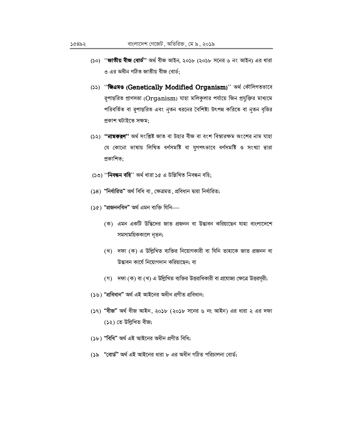- (১০) "**জাতীয় বীজ বোর্ড"** অর্থ বীজ আইন, ২০১৮ (২০১৮ সনের ৬ নং আইন) এর ধারা ৩ এর অধীন গঠিত জাতীয় বীজ বোর্ড:
- (১১) "জিএমও (Genetically Modified Organism)" অৰ্থ কৌলিগতভাবে রূপান্তরিত প্রাণসত্তা (Organism) যাহা মলিকুলার পর্যায়ে জিন প্রযুক্তির মাধ্যমে পরিবর্তিত বা রূপান্তরিত এবং নূতন ধরনের বৈশিষ্ট্য উৎপন্ন করিতে বা নূতন বৃত্তির প্ৰকাশ ঘটাইতে সক্ষম:
- (১২) **''নামকরণ''** অর্থ সংশ্লিষ্ট জাত বা উহার বীজ বা বংশ বিস্তারক্ষম অংশের নাম যাহা যে কোনো ভাষায় লিখিত বৰ্ণসমষ্টি বা যুগপৎভাবে বৰ্ণসমষ্টি ও সংখ্যা দ্বারা প্ৰকাশিত:
- (১৩) ''**নিবন্ধন বহি**'' অৰ্থ ধারা ১৫ এ উল্লিখিত নিবন্ধন বহি;
- (১৪) "নিৰ্ধারিত" অৰ্থ বিধি বা, ক্ষেত্রমত, প্রবিধান দ্বারা নির্ধারিত;
- $(5c)$  "প্ৰজননবিদ" অৰ্থ এমন ব্যক্তি যিনি—
	- (ক) এমন একটি উদ্ভিদের জাত প্রজনন বা উদ্ভাবন করিয়াছেন যাহা বাংলাদেশে সমসাময়িককালে নৃতন;
	- (খ) দফা (ক) এ উল্লিখিত ব্যক্তির নিয়োগকারী বা যিনি তাহাকে জাত প্রজনন বা উদ্ভাবন কাৰ্যে নিয়োগদান করিয়াছেন; বা
	- (গ) দফা (ক) বা (খ) এ উল্লিখিত ব্যক্তির উত্তরাধিকারী বা প্রযোজ্য ক্ষেত্রে উত্তরসূরী;
- (১৬) "প্ৰবিধান" অৰ্থ এই আইনের অধীন প্ৰণীত প্ৰবিধান;
- (১৭) "বীজ" অর্থ বীজ আইন, ২০১৮ (২০১৮ সনের ৬ নং আইন) এর ধারা ২ এর দফা (১২) তে উল্লিখিত বীজ;
- (১৮) "বিধি" অৰ্থ এই আইনের অধীন প্রণীত বিধি;
- (১৯ "বোর্ড" অর্থ এই আইনের ধারা ৮ এর অধীন গঠিত পরিচালনা বোর্ড;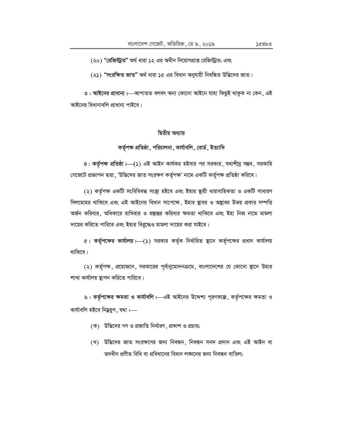(২০) "রেজিস্ট্রার" অর্থ ধারা ১২ এর অধীন নিয়োগপ্রাপ্ত রেজিস্ট্রার; এবং

(২১) "সংরক্ষিত জাত" অর্থ ধারা ১৫ এর বিধান অনুযায়ী নিবন্ধিত উদ্ভিদের জাত।

৩। আইনের প্রাধান্য।—আপাতত বলবৎ অন্য কোনো আইনে যাহা কিছুই থাকুক না কেন, এই আইনের বিধানাবলি প্রাধান্য পাইবে।

## দ্বিতীয় অধ্যায়

## কৰ্তৃপক্ষ প্ৰতিষ্ঠা, পরিচালনা, কাৰ্যাবলি, বোৰ্ড, ইত্যাদি

8। কর্তৃপক্ষ প্রতিষ্ঠা।—(১) এই আইন কার্যকর হইবার পর সরকার, যথাশীঘ্র সম্ভব, সরকারি গেজেটে প্রজ্ঞাপন দ্বারা , 'উদ্ভিদের জাত সংরক্ষণ কর্তৃপক্ষ' নামে একটি কর্তৃপক্ষ প্রতিষ্ঠা করিবে।

(২) কর্তৃপক্ষ একটি সংবিধিবদ্ধ সংস্থা হইবে এবং ইহার শ্বায়ী ধারাবাহিকতা ও একটি সাধারণ সিলমোহর থাকিবে এবং এই আইনের বিধান সাপেক্ষে, ইহার ছাবর ও অষ্থাবর উভয় প্রকার সম্পত্তি অৰ্জন করিবার, অধিকারে রাখিবার ও হস্তান্তর করিবার ক্ষমতা থাকিবে এবং ইহা নিজ নামে মামলা দায়ের করিতে পারিবে এবং ইহার বিরুদ্ধেও মামলা দায়ের করা যাইবে।

৫। কর্তৃপক্ষের কার্যালয়। (১) সরকার কর্তৃক নির্ধারিত ছানে কর্তৃপক্ষের প্রধান কার্যালয় থাকিবে।

(২) কর্তৃপক্ষ, প্রয়োজনে, সরকারের পূর্বানুমোদনক্রমে, বাংলাদেশের যে কোনো ছানে উহার শাখা কার্যালয় স্থাপন করিতে পারিবে।

৬। কর্তৃপক্ষের ক্ষমতা ও কার্যাবলি। এই আইনের উদ্দেশ্য পূরণকল্পে, কর্তৃপক্ষের ক্ষমতা ও কাৰ্যাবলি হইবে নিম্নৱুপ, যথা :--

- (ক) উদ্ভিদের গণ ও প্রজাতি নির্ধারণ, প্রকাশ ও প্রচার;
- (খ) উদ্ভিদের জাত সংরক্ষণের জন্য নিবন্ধন, নিবন্ধন সনদ প্রদান এবং এই আইন বা তদধীন প্রণীত বিধি বা প্রবিধানের বিধান লঙ্ঘনের জন্য নিবন্ধন বাতিল;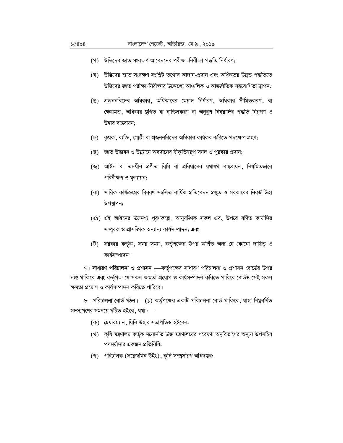- (গ) উদ্ভিদের জাত সংরক্ষণ আবেদনের পরীক্ষা-নিরীক্ষা পদ্ধতি নির্ধারণ:
- (ঘ) উদ্ভিদের জাত সংরক্ষণ সংশ্লিষ্ট তথ্যের আদান-প্রদান এবং অধিকতর উন্নত পদ্ধতিতে উদ্ভিদের জাত পরীক্ষা-নিরীক্ষার উদ্দেশ্যে আঞ্চলিক ও আন্তর্জাতিক সহযোগিতা স্থাপন;
- (ঙ) প্রজননবিদের অধিকার, অধিকারের মেয়াদ নির্ধারণ, অধিকার সীমিতকরণ, বা ক্ষেত্রমত, অধিকার ষ্থগিত বা বাতিলকরণ বা অনুরূপ বিষয়াদির পদ্ধতি নিরূপণ ও উহার বাস্তবায়ন;
- (**চ) ক্ষক, ব্যক্তি, গোষ্ঠী বা প্রজননবিদের** অধিকার কার্যকর করিতে পদক্ষেপ গ্রহণ;
- (ছ) জাত উদ্ভাবন ও উন্নয়নে অবদানের স্বীকৃতিম্বরূপ সনদ ও পুরষ্কার প্রদান;
- (জ) আইন বা তদধীন প্রণীত বিধি বা প্রবিধানের যথাযথ বাস্তবায়ন, নিয়মিতভাবে পরিবীক্ষণ ও মূল্যায়ন;
- (ঝ) সার্বিক কার্যক্রমের বিবরণ সম্বলিত বার্ষিক প্রতিবেদন প্রষ্কৃত ও সরকারের নিকট উহা উপস্থাপন;
- (এঃ) এই আইনের উদ্দেশ্য পূরণকল্পে, আনুষজ্ঞিক সকল এবং উপরে বর্ণিত কার্যাদির সম্পূরক ও প্রাসজ্ঞিক অন্যান্য কার্যসম্পাদন; এবং
- (ট) সরকার কর্তৃক, সময় সময়, কর্তৃপক্ষের উপর অর্পিত অন্য যে কোনো দায়িত্ব ও কাৰ্যসম্পাদন।

৭। সাধারণ পরিচালনা ও প্রশাসন। কর্তৃপক্ষের সাধারণ পরিচালনা ও প্রশাসন বোর্ডের উপর ন্যন্ত থাকিবে এবং কর্তৃপক্ষ যে সকল ক্ষমতা প্রয়োগ ও কার্যসম্পাদন করিতে পারিবে বোর্ডও সেই সকল ক্ষমতা প্রয়োগ ও কার্যসম্পাদন করিতে পারিবে।

৮। পরিচালনা বোর্ড গঠন।—(১) কর্তৃপক্ষের একটি পরিচালনা বোর্ড থাকিবে, যাহা নিম্নবর্ণিত সদস্যগণের সমন্বয়ে গঠিত হইবে, যথা :---

- (ক) চেয়ারম্যান, যিনি উহার সভাপতিও হইবেন;
- (খ) কৃষি মন্ত্রণালয় কর্তৃক মনোনীত উক্ত মন্ত্রণালয়ের গবেষণা অনুবিভাগের অন্যূন উপসচিব পদমর্যাদার একজন প্রতিনিধি;
- (গ) পরিচালক (সরেজমিন উইং), কৃষি সম্প্রসারণ অধিদপ্তর;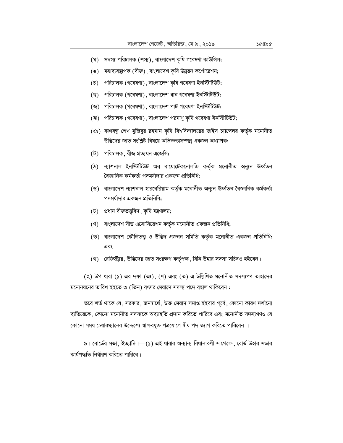- (ঘ) সদস্য পরিচালক (শস্য), বাংলাদেশ কৃষি গবেষণা কাউন্সিল;
- (ঙ) মহাব্যবস্থাপক (বীজ), বাংলাদেশ কৃষি উন্নয়ন কর্পোরেশন;
- (চ) পরিচালক (গবেষণা), বাংলাদেশ কৃষি গবেষণা ইনস্টিটিউট;
- (ছ) পরিচালক (গবেষণা), বাংলাদেশ ধান গবেষণা ইনস্টিটিউট;
- (জ) পরিচালক (গবেষণা), বাংলাদেশ পাট গবেষণা ইনস্টিটিউট;
- (ঝ) পরিচালক (গবেষণা), বাংলাদেশ পরমাণু কৃষি গবেষণা ইনস্টিটিউট;
- (এঃ) বজাবন্ধু শেখ মুজিবুর রহমান কৃষি বিশ্ববিদ্যালয়ের ভাইস চ্যান্সেলর কর্তৃক মনোনীত উদ্ভিদের জাত সংশ্লিষ্ট বিষয়ে অভিজ্ঞতাসম্পন্ন একজন অধ্যাপক;
- (ট) পরিচালক, বীজ প্রত্যয়ন এজেন্সি;
- $(b)$  ন্যাশনাল ইনস্টিটিউট অব বায়োটেকনোলজি কর্তৃক মনোনীত অন্যূন ঊর্ধ্বতন বৈজ্ঞানিক কর্মকর্তা পদমর্যাদার একজন প্রতিনিধি;
- (ড) বাংলাদেশ ন্যাশনাল হারবেরিয়াম কর্তৃক মনোনীত অন্যূন ঊর্ধ্বতন বৈজ্ঞানিক কর্মকর্তা পদমর্যাদার একজন প্রতিনিধি;
- (ঢ) প্ৰধান বীজতত্ত্ববিদ, কৃষি মন্ত্ৰণালয়;
- (ণ) বাংলাদেশ সীড এসোসিয়েশন কর্তৃক মনোনীত একজন প্রতিনিধি;
- (ত) বাংলাদেশ কৌলিতত্ত্ব ও উদ্ভিদ প্রজনন সমিতি কর্তৃক মনোনীত একজন প্রতিনিধি; এবং
- (থ) রেজিস্ট্রার, উদ্ভিদের জাত সংরক্ষণ কর্তৃপক্ষ, যিনি উহার সদস্য সচিবও হইবেন।

(২) উপ-ধারা (১) এর দফা (এঃ), (ণ) এবং (ত) এ উল্লিখিত মনোনীত সদস্যগণ তাহাদের মনোনয়নের তারিখ হইতে ৩ (তিন) বৎসর মেয়াদে সদস্য পদে বহাল থাকিবেন :

তবে শর্ত থাকে যে, সরকার, জনন্বার্থে, উক্ত মেয়াদ সমাপ্ত হইবার পূর্বে, কোনো কারণ দর্শানো ব্যতিরেকে , কোনো মনোনীত সদস্যকে অব্যাহতি প্রদান করিতে পারিবে এবং মনোনীত সদস্যগণও যে কোনো সময় চেয়ারম্যানের উদ্দেশ্যে স্বাক্ষরযুক্ত পত্রযোগে স্বীয় পদ ত্যাগ করিতে পারিবেন ।

৯। বোর্ডের সভা, ইত্যাদি।—(১) এই ধারার অন্যান্য বিধানাবলী সাপেক্ষে, বোর্ড উহার সভার কাৰ্যপদ্ধতি নিৰ্ধারণ করিতে পারিবে।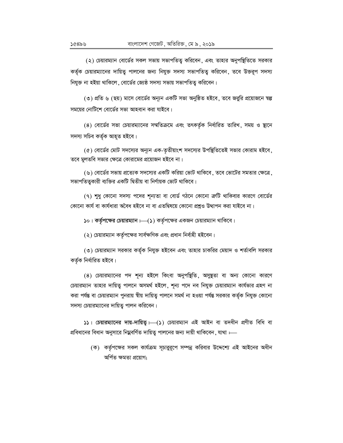(২) চেয়ারম্যান বোর্ডের সকল সভায় সভাপতিত্ব করিবেন, এবং তাহার অনুপষ্থিতিতে সরকার কর্তৃক চেয়ারম্যানের দায়িত্ব পালনের জন্য নিযুক্ত সদস্য সভাপতিত্ব করিবেন, তবে উক্তরূপ সদস্য নিযুক্ত না হইয়া থাকিলে, বোর্ডের জ্যেষ্ঠ সদস্য সভায় সভাপতিত্ব করিবেন।

(৩) প্রতি ৬ (ছয়) মাসে বোর্ডের অন্যুন একটি সভা অনুষ্ঠিত হইবে, তবে জরুরি প্রয়োজনে ম্বল্প সময়ের নোটিশে বোর্ডের সভা আহবান করা যাইবে।

(8) বোর্ডের সভা চেয়ারম্যানের সম্মতিক্রমে এবং তৎকর্তৃক নির্ধারিত তারিখ, সময় ও ষ্থানে সদস্য সচিব কৰ্তৃক আহূত হইবে।

(৫) বোর্ডের মোট সদস্যের অন্যূন এক-তৃতীয়াংশ সদস্যের উপষ্থিতিতেই সভার কোরাম হইবে, তবে মুলতবি সভার ক্ষেত্রে কোরামের প্রয়োজন হইবে না।

(৬) বোর্ডের সভায় প্রত্যেক সদস্যের একটি করিয়া ভোট থাকিবে , তবে ভোটের সমতার ক্ষেত্রে , সভাপতিতুকারী ব্যক্তির একটি দ্বিতীয় বা নির্ণায়ক ভোট থাকিবে।

(৭) শুধু কোনো সদস্য পদের শূন্যতা বা বোর্ড গঠনে কোনো ক্রটি থাকিবার কারণে বোর্ডের কোনো কার্য বা কার্যধারা অবৈধ হইবে না বা এতদ্বিষয়ে কোনো প্রশ্নও উত্থাপন করা যাইবে না।

১০। কর্তৃপক্ষের চেয়ারম্যান।—(১) কর্তৃপক্ষের একজন চেয়ারম্যান থাকিবে।

(২) চেয়ারম্যান কর্তৃপক্ষের সার্বক্ষণিক এবং প্রধান নির্বাহী হইবেন।

(৩) চেয়ারম্যান সরকার কর্তৃক নিযুক্ত হইবেন এবং তাহার চাকরির মেয়াদ ও শর্তাবলি সরকার কৰ্তৃক নিৰ্ধারিত হইবে।

(8) চেয়ারম্যানের পদ শূন্য হইলে কিংবা অনুপষ্থিতি, অসুষ্থতা বা অন্য কোনো কারণে চেয়ারম্যান তাহার দায়িত্ব পালনে অসমর্থ হইলে, শূন্য পদে নব নিযুক্ত চেয়ারম্যান কার্যভার গ্রহণ না করা পর্যন্ত বা চেয়ারম্যান পুনরায় স্বীয় দায়িতু পালনে সমর্থ না হওয়া পর্যন্ত সরকার কর্তৃক নিযুক্ত কোনো সদস্য চেয়ারম্যানের দায়িত্ব পালন করিবেন।

 $55$ । চেয়ারম্যানের দায়-দায়িত্ব  $\longmapsto$  (5) চেয়ারম্যান এই আইন বা তদধীন প্রণীত বিধি বা প্রবিধানের বিধান অনুসারে নিম্নবর্ণিত দায়িত্ব পালনের জন্য দায়ী থাকিবেন, যাথা :--

> (ক) কর্তৃপক্ষের সকল কার্যক্রম সূচারুরূপে সম্পন্ন করিবার উদ্দেশ্যে এই আইনের অধীন অৰ্পিত ক্ষমতা প্ৰয়োগ;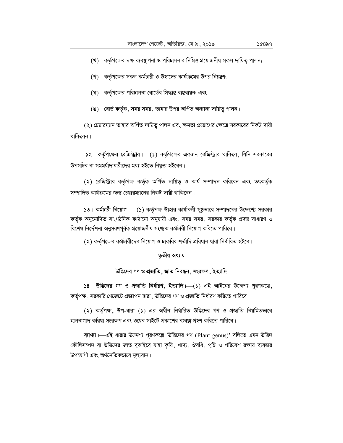(খ) কর্তৃপক্ষের দক্ষ ব্যবস্থাপনা ও পরিচালনার নিমিত্ত প্রয়োজনীয় সকল দায়িত্ব পালন;

- (গ) কর্তৃপক্ষের সকল কর্মচারী ও উহাদের কার্যক্রমের উপর নিয়ন্ত্রণ;
- (ঘ) কর্তৃপক্ষের পরিচালনা বোর্ডের সিদ্ধান্ত বাস্তবায়ন; এবং
- (ঙ) বোর্ড কর্তৃক, সময় সময়, তাহার উপর অর্পিত অন্যান্য দায়িত্ব পালন।

(২) চেয়ারম্যান তাহার অর্পিত দায়িত্ব পালন এবং ক্ষমতা প্রয়োগের ক্ষেত্রে সরকারের নিকট দায়ী থাকিবেন।

১২। কর্তৃপক্ষের রেজিস্ট্রার  $\longmapsto$ (১) কর্তৃপক্ষের একজন রেজিস্ট্রার থাকিবে, যিনি সরকারের উপসচিব বা সমমর্যাদাধারীদের মধ্য হইতে নিযুক্ত হইবেন।

(২) রেজিস্ট্রার কর্তৃপক্ষ কর্তৃক অর্পিত দায়িত্ব ও কার্য সম্পাদন করিবেন এবং তৎকর্তৃক সম্পাদিত কার্যক্রমের জন্য চেয়ারম্যানের নিকট দায়ী থাকিবেন।

১৩। কর্মচারী নিয়োগ  $\mapsto$ (১) কর্তৃপক্ষ উাহার কার্যাবলী সুষ্ঠুভাবে সম্পাদনের উদ্দেশ্যে সরকার কর্তৃক অনুমোদিত সাংগঠনিক কাঠামো অনুযায়ী এবং, সময় সময়, সরকার কর্তৃক প্রদত্ত সাধারণ ও বিশেষ নির্দেশনা অনুসরণপূর্বক প্রয়োজনীয় সংখ্যক কর্মচারী নিয়োগ করিতে পারিবে।

(২) কর্তৃপক্ষের কর্মচারীদের নিয়োগ ও চাকরির শর্তাদি প্রবিধান দ্বারা নির্ধারিত হইবে।

### তৃতীয় অধ্যায়

### উদ্ভিদের গণ ও প্রজাতি, জাত নিবন্ধন, সংরক্ষণ, ইত্যাদি

 $|98|$  উদ্ভিদের গণ ও প্রজাতি নির্ধারণ, ইত্যাদি। (১) এই আইনের উদ্দেশ্য পূরণকল্পে, কর্তৃপক্ষ, সরকারি গেজেটে প্রজ্ঞাপন দ্বারা, উদ্ভিদের গণ ও প্রজাতি নির্ধারণ করিতে পারিবে।

(২) কর্তৃপক্ষ, উপ-ধারা (১) এর অধীন নির্ধারিত উদ্ভিদের গণ ও প্রজাতি নিয়মিতভাবে হালনাগাদ করিয়া সংরক্ষণ এবং ওয়েব সাইটে প্রকাশের ব্যবস্থা গ্রহণ করিতে পারিবে।

ব্যাখ্যা H এই ধারার উদ্দেশ্য পূরণকল্পে 'উদ্ভিদের গণ (Plant genus)' বলিতে এমন উদ্ভিদ কৌলিসম্পদ বা উদ্ভিদের জাত বুঝাইবে যাহা কৃষি, খাদ্য, ঔষধি, পুষ্টি ও পরিবেশ রক্ষায় ব্যবহার উপযোগী এবং অর্থনৈতিকভাবে মূল্যবান।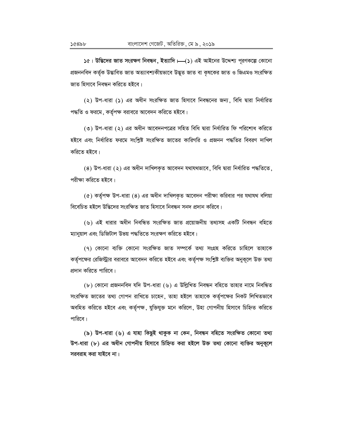১৫। উদ্ভিদের জাত সংরক্ষণ নিবন্ধন, ইত্যাদি। (১) এই আইনের উদ্দেশ্য পূরণকল্পে কোনো প্ৰজননবিদ কৰ্তৃক উদ্ভাবিত জাত অত্যাবশ্যকীয়ভাবে উদ্ভূত জাত বা কৃষকের জাত ও জিএমও সংরক্ষিত জাত হিসাবে নিবন্ধন করিতে হইবে।

(২) উপ-ধারা (১) এর অধীন সংরক্ষিত জাত হিসাবে নিবন্ধনের জন্য, বিধি দ্বারা নির্ধারিত পদ্ধতি ও ফরমে, কর্তৃপক্ষ বরাবরে আবেদন করিতে হইবে।

(৩) উপ-ধারা (২) এর অধীন আবেদনপত্রের সহিত বিধি দ্বারা নির্ধারিত ফি পরিশোধ করিতে হইবে এবং নির্ধারিত ফরমে সংশ্লিষ্ট সংরক্ষিত জাতের কারিগরি ও প্রজনন পদ্ধতির বিবরণ দাখিল করিতে হইবে।

(8) উপ-ধারা (২) এর অধীন দাখিলকৃত আবেদন যথাযথভাবে, বিধি দ্বারা নির্ধারিত পদ্ধতিতে, পরীক্ষা করিতে হইবে।

 $($ ৫) কর্তৃপক্ষ উপ-ধারা (8) এর অধীন দাখিলকৃত আবেদন পরীক্ষা করিবার পর যথাযথ বলিয়া বিবেচিত হইলে উদ্ভিদের সংরক্ষিত জাত হিসাবে নিবন্ধন সনদ প্রদান করিবে।

(৬) এই ধারার অধীন নিবন্ধিত সংরক্ষিত জাত প্রয়োজনীয় তথ্যসহ একটি নিবন্ধন বহিতে ম্যানুয়াল এবং ডিজিটাল উভয় পদ্ধতিতে সংরক্ষণ করিতে হইবে।

(৭) কোনো ব্যক্তি কোনো সংরক্ষিত জাত সম্পর্কে তথ্য সংগ্রহ করিতে চাহিলে তাহাকে কর্তৃপক্ষের রেজিস্ট্রার বরাবরে আবেদন করিতে হইবে এবং কর্তৃপক্ষ সংশ্লিষ্ট ব্যক্তির অনুকূলে উক্ত তথ্য প্রদান করিতে পারিবে।

(৮) কোনো প্ৰজননবিদ যদি উপ-ধারা (৬) এ উল্লিখিত নিবন্ধন বহিতে তাহার নামে নিবন্ধিত সংরক্ষিত জাতের তথ্য গোপন রাখিতে চাহেন, তাহা হইলে তাহাকে কর্তৃপক্ষের নিকট লিখিতভাবে অবহিত করিতে হইবে এবং কর্তৃপক্ষ, যুক্তিযুক্ত মনে করিলে, উহা গোপনীয় হিসাবে চিহ্নিত করিতে পারিবে।

(৯) উপ-ধারা (৬) এ যাহা কিছুই থাকুক না কেন, নিবন্ধন বহিতে সংরক্ষিত কোনো তথ্য উপ-ধারা (৮) এর অধীন গোপনীয় হিসাবে চিহ্নিত করা হইলে উক্ত তথ্য কোনো ব্যক্তির অনুকূলে সরবরাহ করা যাইবে না।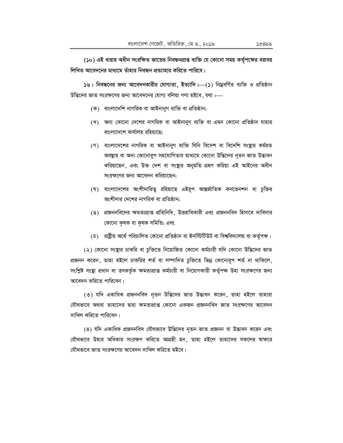(১০) এই ধারার অধীন সংরক্ষিত জাতের নিবন্ধনপ্রাপ্ত ব্যক্তি যে কোনো সময় কর্তৃপক্ষের বরাবর লিখিত আবেদনের মাধ্যমে তাঁহার নিবন্ধন প্রত্যাহার করিতে পারিবে।

১৬। নিবন্ধনের জন্য আবেদনকারীর যোগ্যতা, ইত্যাদি।—(১) নিম্নবর্ণিত ব্যক্তি ও প্রতিষ্ঠান উদ্ভিদের জাত সংরক্ষণের জন্য আবেদনের যোগ্য বলিয়া গণ্য হইবে, যথা :---

- (ক) বাংলাদেশি নাগরিক বা আইনানুগ ব্যক্তি বা প্রতিষ্ঠান;
- (খ) অন্য কোনো দেশের নাগরিক বা আইনানুগ ব্যক্তি বা এমন কোনো প্রতিষ্ঠান যাহার বাংলাদেশে কার্যালয় রহিয়াছে:
- (গ) বাংলাদেশের নাগরিক বা আইনানুগ ব্যক্তি যিনি বিদেশ বা বিদেশি সংস্থায় কর্মরত অবন্থায় বা অন্য কোনোরূপ সহযোগিতার মাধ্যমে কোনো উদ্ভিদের নৃতন জাত উদ্ভাবন করিয়াছেন, এবং উক্ত দেশ বা সংস্থার অনুমতি গ্রহণ করিয়া এই আইনের অধীন সংরক্ষণের জন্য আবেদন করিয়াছেন:
- (ঘ) বাংলাদেশের অংশীদারিত্ব রহিয়াছে এইরূপ আন্তর্জাতিক কনভেনশন বা চুক্তির অংশীদার দেশের নাগরিক বা প্রতিষ্ঠান:
- (ঙ) প্রজননবিদের ক্ষমতাপ্রাপ্ত প্রতিনিধি, উত্তরাধিকারী এবং প্রজননবিদ হিসাবে দাবিদার কোনো কৃষক বা কৃষক সমিতি; এবং
- (চ) রাষ্ট্রীয় অর্থে পরিচালিত কোনো প্রতিষ্ঠান বা ইনস্টিটিউট বা বিশ্ববিদ্যালয় বা কর্তৃপক্ষ।

(২) কোনো সংস্থার চাকরি বা চুক্তিতে নিয়োজিত কোনো কর্মচারী যদি কোনো উদ্ভিদের জাত প্রজনন করেন, তাহা হইলে চাকরির শর্ত বা সম্পাদিত চুক্তিতে ভিন্ন কোনোরূপ শর্ত না থাকিলে, সংশ্লিষ্ট সংস্থা প্রধান বা তৎকর্তৃক ক্ষমতাপ্রাপ্ত কর্মচারী বা নিয়োগকারী কর্তৃপক্ষ উহা সংরক্ষণের জন্য আবেদন করিতে পারিবেন।

(৩) যদি একাধিক প্রজননবিদ নূতন উদ্ভিদের জাত উদ্ভাবন করেন, তাহা হইলে তাহারা যৌথভাবে অথবা তাহাদের দ্বারা ক্ষমতাপ্রাপ্ত কোনো একজন প্রজননবিদ জাত সংরক্ষণের আবেদন দাখিল করিতে পারিবেন।

(8) যদি একাধিক প্রজননবিদ যৌথভাবে উদ্ভিদের নূতন জাত প্রজনন বা উদ্ভাবন করেন এবং যৌথভাবে উহার অধিকার সংরক্ষণ করিতে আগ্রহী হন, তাহা হইলে তাহাদের সকলের স্বাক্ষরে যৌথভাবে জাত সংরক্ষণের আবেদন দাখিল করিতে হইবে।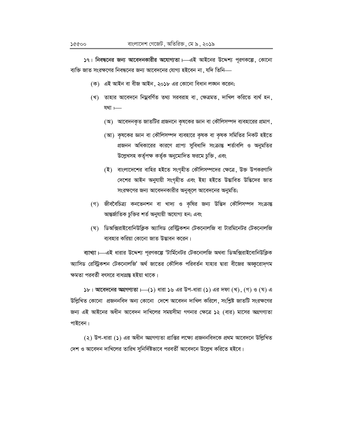১৭। নিবন্ধনের জন্য আবেদনকারীর অযোগ্যতা। এই আইনের উদ্দেশ্য পূরণকল্পে, কোনো ব্যক্তি জাত সংরক্ষণের নিবন্ধনের জন্য আবেদনের যোগ্য হইবেন না ়যদি তিনি—

- (ক) এই আইন বা বীজ আইন, ২০১৮ এর কোনো বিধান লঙ্ঘন করেন;
- (খ) তাহার আবেদনে নিম্নবর্ণিত তথ্য সরবরাহ বা, ক্ষেত্রমত, দাখিল করিতে ব্যর্থ হন, যথা $=$ 
	- (অ) আবেদনকৃত জাতটির প্রজননে কৃষকের জ্ঞান বা কৌলিসম্পদ ব্যবহারের প্রমাণ,
	- (আ) কৃষকের জ্ঞান বা কৌলিসম্পদ ব্যবহারে কৃষক বা কৃষক সমিতির নিকট হইতে প্রজনন অধিকারের কারণে প্রাপ্য সুবিধাদি সংক্রান্ত শর্তাবলি ও অনুমতির উল্লেখসহ কর্তৃপক্ষ কর্তৃক অনুমোদিত ফরমে চুক্তি, এবং
	- (ই) বাংলাদেশের বাহির হইতে সংগৃহীত কৌলিসম্পদের ক্ষেত্রে, উক্ত উপকরণাদি দেশের আইন অনুযায়ী সংগৃহীত এবং ইহা হইতে উদ্ভাবিত উদ্ভিদের জাত সংরক্ষণের জন্য আবেদনকারীর অনুকূলে আবেদনের অনুমতি;
- (গ) জীববৈচিত্র্য কনভেনশন বা খাদ্য ও কৃষির জন্য উদ্ভিদ কৌলিসম্পদ সংক্রান্ত আন্তর্জাতিক চুক্তির শর্ত অনুযায়ী অযোগ্য হন; এবং
- (ঘ) ভিঅক্সিরাইবোনিউক্লিক অ্যাসিড রেস্ট্রিকশন টেকনোলজি বা টারমিনেটর টেকনোলজি ব্যবহার করিয়া কোনো জাত উদ্ভাবন করেন।

ব্যাখ্যা।—এই ধারার উদ্দেশ্য পূরণকল্পে 'টার্মিনেটর টেকনোলজি অথবা ডিঅক্সিরাইবোনিউক্লিক অ্যাসিড রেস্ট্রিকশন টেকনোলজি' অর্থ জাতের কৌলিক পরিবর্তন যাহার দ্বারা বীজের অজ্জুরোদ্গম ক্ষমতা পরবর্তী বৎসরে বাধাগ্রন্ত হইয়া থাকে।

 $5b$ । আবেদনের অগ্রগণ্যতা  $\mapsto$  ( $5$ ) ধারা ১৬ এর উপ-ধারা ( $5$ ) এর দফা (খ), (গ) ও (ঘ) এ উল্লিখিত কোনো প্রজননবিদ অন্য কোনো দেশে আবেদন দাখিল করিলে, সংশ্লিষ্ট জাতটি সংরক্ষণের জন্য এই আইনের অধীন আবেদন দাখিলের সময়সীমা গণনার ক্ষেত্রে ১২ (বার) মাসের অগ্রগণ্যতা পাইবেন।

(২) উপ-ধারা (১) এর অধীন অগ্রগণ্যতা প্রাপ্তির লক্ষ্যে প্রজননবিদকে প্রথম আবেদনে উল্লিখিত দেশ ও আবেদন দাখিলের তারিখ সুনির্দিষ্টভাবে পরবর্তী আবেদনে উল্লেখ করিতে হইবে।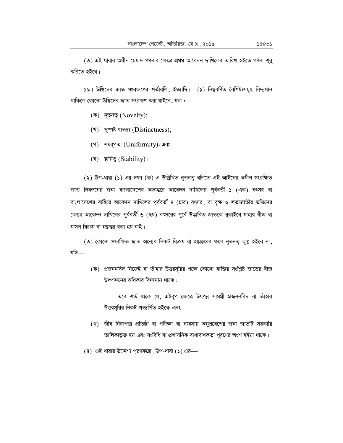(৩) এই ধারার অধীন মেয়াদ গণনার ক্ষেত্রে প্রথম আবেদন দাখিলের তারিখ হইতে গণনা শুর করিতে হইবে।

১৯। উদ্ভিদের জাত সংরক্ষণের শর্তাবলি, ইত্যাদি।—(১) নিম্নবর্ণিত বৈশিষ্ট্যসমূহ বিদ্যমান থাকিলে কোনো উদ্ভিদের জাত সংরক্ষণ করা যাইবে, যথা :----

- $(\overline{\Phi})$  নৃতনত্ব (Novelty);
- $($ খ) সুম্পষ্ট ম্বাতন্ত্ৰ্য (Distinctness);
- (গ) সমরূপতা (Uniformity); এবং
- $($ ঘ) ছায়িত্ব (Stability) ।

(২) উপ-ধারা (১) এর দফা (ক) এ উল্লিখিত নূতনত্ব বলিতে এই আইনের অধীন সংরক্ষিত জাত নিবন্ধনের জন্য বাংলাদেশের অভ্যন্তরে আবেদন দাখিলের পূর্ববর্তী ১ (এক) বৎসর বা বাংলাদেশের বাহিরে আবেদন দাখিলের পূর্ববর্তী ৪ (চার) বৎসর, বা বৃক্ষ ও লতাজাতীয় উদ্ভিদের ক্ষেত্রে আবেদন দাখিলের পূর্ববর্তী ৬ (ছয়) বৎসরের পূর্বে উদ্ভাবিত জাতকে বুঝাইবে যাহার বীজ বা ফসল বিক্রয় বা হস্তান্তর করা হয় নাই।

(৩) কোনো সংরক্ষিত জাত অন্যের নিকট বিক্রয় বা হস্তান্তরের ফলে নূতনত্ব ক্ষুণ্ণ হইবে না, যদি—

(ক) প্রজননবিদ নিজেই বা তাঁহার উত্তরসূরির পক্ষে কোনো ব্যক্তির সংশ্লিষ্ট জাতের বীজ উৎপাদনের অধিকার বিদ্যমান থাকে :

তবে শর্ত থাকে যে, এইরূপ ক্ষেত্রে উৎপন্ন সামগ্রী প্রজননবিদ বা তাঁহার উত্তরসূরির নিকট প্রত্যর্পিত হইবে; এবং

- (খ) জীব নিরাপত্তা প্রতিষ্ঠা বা পরীক্ষা বা ব্যবসায় অনুপ্রবেশের জন্য জাতটি সরকারি তালিকাভুক্ত হয় এবং সংবিধি বা প্রশাসনিক বাধ্যবাধকতা পূরণের অংশ হইয়া থাকে।
- $(8)$  এই ধারার উদ্দেশ্য পূরণকল্পে, উপ-ধারা  $(5)$  এর –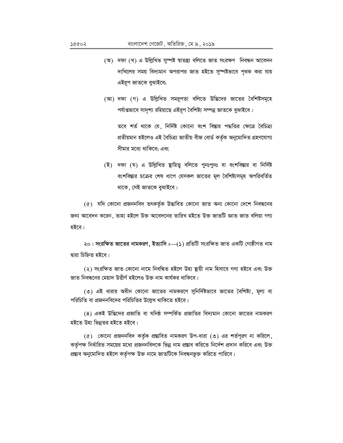- (অ) দফা (খ) এ উল্লিখিত সুম্পষ্ট শ্বাতন্ত্ৰ্য বলিতে জাত সংরক্ষণ নিবন্ধন আবেদন দাখিলের সময় বিদ্যমান অপরাপর জাত হইতে সুস্পষ্টভাবে পৃথক করা যায় এইরূপ জাতকে বুঝাইবে;
- (আ) দফা (গ) এ উল্লিখিত সমরূপতা বলিতে উদ্ভিদের জাতের বৈশিষ্টসমূহে পর্যাপ্তভাবে সাদৃশ্য রহিয়াছে এইরূপ বৈশিষ্ট্য সম্পন্ন জাতকে বুঝাইবে :

তবে শর্ত থাকে যে, নির্দিষ্ট কোনো বংশ বিস্তার পদ্ধতির ক্ষেত্রে বৈচিত্র্য প্ৰতীয়মান হইলেও এই বৈচিত্ৰ্য জাতীয় বীজ বোৰ্ড কৰ্তৃক অনুমোদিত গ্ৰহণযোগ্য সীমার মধ্যে থাকিবে; এবং

(ই) দফা (ঘ) এ উল্লিখিত ছায়িত্ব বলিতে পুনঃপুনঃ বা বংশবিস্তার বা নির্দিষ্ট বংশবিস্তার চক্রের শেষ ধাপে যেসকল জাতের মূল বৈশিষ্ট্যসমূহ অপরিবর্তিত থাকে, সেই জাতকে বুঝাইবে।

(৫) যদি কোনো প্রজননবিদ তৎকর্তৃক উদ্ভাবিত কোনো জাত অন্য কোনো দেশে নিবন্ধনের জন্য আবেদন করেন, তাহা হইলে উক্ত আবেদনের তারিখ হইতে উক্ত জাতটি জ্ঞাত জাত বলিয়া গণ্য হইবে।

২০। সংরক্ষিত জাতের নামকরণ, ইত্যাদি।—(১) প্রতিটি সংরক্ষিত জাত একটি গোষ্ঠীগত নাম দ্বারা চিহ্নিত হইবে।

(২) সংরক্ষিত জাত কোনো নামে নিবন্ধিত হইলে উহা ষ্থায়ী নাম হিসাবে গণ্য হইবে এবং উক্ত জাত নিবন্ধনের মেয়াদ উত্তীর্ণ হইলেও উক্ত নাম কার্যকর থাকিবে।

(৩) এই ধারার অধীন কোনো জাতের নামকরণে সুনির্দিষ্টভাবে জাতের বৈশিষ্ট্য, মূল্য বা পরিচিতি বা প্রজননবিদের পরিচিতির উল্লেখ থাকিতে হইবে।

(8) একই উদ্ভিদের প্রজাতি বা ঘনিষ্ঠ সম্পর্কিত প্রজাতির বিদ্যমান কোনো জাতের নামকরণ হইতে উহা ভিন্নতর হইতে হইবে।

 $(c)$  কোনো প্রজননবিদ কর্তৃক প্রস্তাবিত নামকরণ উপ-ধারা  $(c)$  এর শর্তপূরণ না করিলে, কর্তৃপক্ষ নির্ধারিত সময়ের মধ্যে প্রজননবিদকে ভিন্ন নাম প্রস্তাব করিতে নির্দেশ প্রদান করিবে এবং উক্ত প্রস্তাব অনুমোদিত হইলে কর্তৃপক্ষ উক্ত নামে জাতটিকে নিবন্ধনভুক্ত করিতে পারিবে।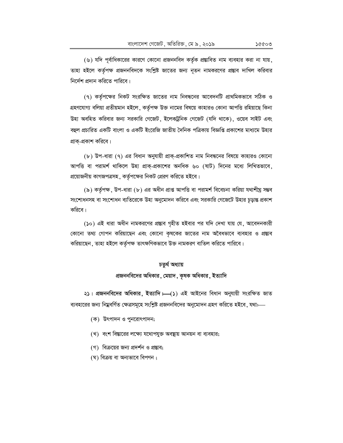(৭) কর্তৃপক্ষের নিকট সংরক্ষিত জাতের নাম নিবন্ধনের আবেদনটি প্রাথমিকভাবে সঠিক ও গ্রহণযোগ্য বলিয়া প্রতীয়মান হইলে, কর্তৃপক্ষ উক্ত নামের বিষয়ে কাহারও কোনা আপত্তি রহিয়াছে কিনা উহা অবহিত করিবার জন্য সরকারি গেজেট, ইলেকট্রনিক গেজেট (যদি থাকে), ওয়েব সাইট এবং বহুল প্রচারিত একটি বাংলা ও একটি ইংরেজি জাতীয় দৈনিক পত্রিকায় বিজ্ঞপ্তি প্রকাশের মাধ্যমে উহার প্রাক্-প্রকাশ করিবে।

(৮) উপ-ধারা (৭) এর বিধান অনুযায়ী প্রাক্-প্রকাশিত নাম নিবন্ধনের বিষয়ে কাহারও কোনো আপত্তি বা পরামর্শ থাকিলে উহা প্রাক্-প্রকাশের অনধিক ৬০ (ষাট) দিনের মধ্যে লিখিতভাবে, প্রয়োজনীয় কাগজপত্রসহ, কর্তৃপক্ষের নিকট প্রেরণ করিতে হইবে।

(৯) কর্তৃপক্ষ, উপ-ধারা (৮) এর অধীন প্রাপ্ত আপত্তি বা পরামর্শ বিবেচনা করিয়া যথাশীঘ্র সম্ভব সংশোধনসহ বা সংশোধন ব্যতিরেকে উহা অনুমোদন করিবে এবং সরকারি গেজেটে উহার চূড়ান্ত প্রকাশ করিবে।

(১০) এই ধারা অধীন নামকরণের প্রস্তাব গৃহীত হইবার পর যদি দেখা যায় যে, আবেদনকারী কোনো তথ্য গোপন করিয়াছেন এবং কোনো কৃষকের জাতের নাম অবৈধভাবে ব্যবহার ও প্রস্তাব করিয়াছেন, তাহা হইলে কর্তৃপক্ষ তাৎক্ষণিকভাবে উক্ত নামকরণ বাতিল করিতে পারিবে।

#### চতুৰ্থ অধ্যায়

# প্রজননবিদের অধিকার, মেয়াদ, কৃষক অধিকার, ইত্যাদি

২১। প্রজননবিদের অধিকার, ইত্যাদি। (১) এই আইনের বিধান অনুযায়ী সংরক্ষিত জাত ব্যবহারের জন্য নিম্নবর্ণিত ক্ষেত্রসমূহে সংশ্লিষ্ট প্রজননবিদের অনুমোদন গ্রহণ করিতে হইবে, যথা:--

- (ক) উৎপাদন ও পুনরোৎপাদন;
- (খ) বংশ বিস্তারের লক্ষ্যে যথোপযুক্ত অবস্থায় আনয়ন বা ব্যবহার;
- (গ) বিক্রয়ের জন্য প্রদর্শন ও প্রস্তাব;
- (ঘ) বিক্রয় বা অন্যভাবে বিপণন ;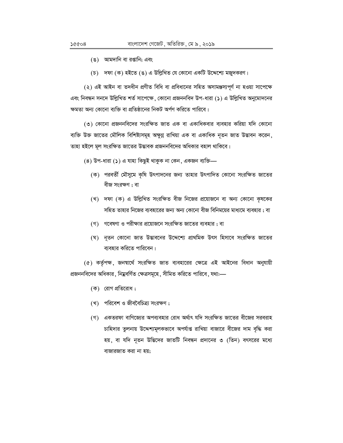- (ঙ) আমদানি বা রপ্তানি; এবং
- (চ) দফা (ক) হইতে (ঙ) এ উল্লিখিত যে কোনো একটি উদ্দেশ্যে মজুদকরণ।

(২) এই আইন বা তদধীন প্রণীত বিধি বা প্রবিধানের সহিত অসামঞ্জস্যপূর্ণ না হওয়া সাপেক্ষে এবং নিবন্ধন সনদে উল্লিখিত শর্ত সাপেক্ষে, কোনো প্রজননবিদ উপ-ধারা (১) এ উল্লিখিত অনুমোদনের ক্ষমতা অন্য কোনো ব্যক্তি বা প্রতিষ্ঠানের নিকট অর্পণ করিতে পারিবে।

(৩) কোনো প্রজননবিদের সংরক্ষিত জাত এক বা একাধিকবার ব্যবহার করিয়া যদি কোনো ব্যক্তি উক্ত জাতের মৌলিক বিশিষ্ট্যসমূহ অক্ষুণ্ণ রাখিয়া এক বা একাধিক নূতন জাত উদ্ভাবন করেন, তাহা হইলে মূল সংরক্ষিত জাতের উদ্ভাবক প্রজননবিদের অধিকার বহাল থাকিবে।

- $(8)$  উপ-ধারা  $(5)$  এ যাহা কিছুই থাকুক না কেন, একজন ব্যক্তি—
	- (ক) পরবর্তী মৌসুমে কৃষি উৎপাদনের জন্য তাহার উৎপাদিত কোনো সংরক্ষিত জাতের বীজ সংরক্ষণ ; বা
	- (খ) দফা (ক) এ উল্লিখিত সংরক্ষিত বীজ নিজের প্রয়োজনে বা অন্য কোনো কৃষকের সহিত তাহার নিজের ব্যবহারের জন্য অন্য কোনো বীজ বিনিময়ের মাধ্যমে ব্যবহার ; বা
	- (গ) গবেষণা ও পরীক্ষার প্রয়োজনে সংরক্ষিত জাতের ব্যবহার ; বা
	- (ঘ) নূতন কোনো জাত উদ্ভাবনের উদ্দেশ্যে প্রাথমিক উৎস হিসাবে সংরক্ষিত জাতের ব্যবহার করিতে পারিবেন।

(৫) কর্তৃপক্ষ, জনম্বার্থে সংরক্ষিত জাত ব্যবহারের ক্ষেত্রে এই আইনের বিধান অনুযায়ী প্রজননবিদের অধিকার, নিম্নবর্ণিত ক্ষেত্রসমূহে, সীমিত করিতে পারিবে, যথা:—

- (ক) রোগ প্রতিরোধ;
- (খ) পরিবেশ ও জীববৈচিত্র্য সংরক্ষণ;
- (গ) একতরফা বাণিজ্যের অপব্যবহার রোধ অর্থাৎ যদি সংরক্ষিত জাতের বীজের সরবরাহ চাহিদার তুলনায় উদ্দেশ্যমূলকভাবে অপর্যাপ্ত রাখিয়া বাজারে বীজের দাম বৃদ্ধি করা হয়, বা যদি নূতন উদ্ভিদের জাতটি নিবন্ধন প্রদানের ৩ (তিন) বৎসরের মধ্যে বাজারজাত করা না হয়;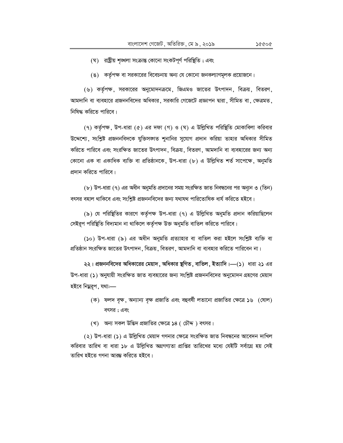- (ঘ) রাষ্ট্রীয় শৃঙ্খলা সংক্রান্ত কোনো সংকটপূর্ণ পরিষ্থিতি; এবং
- (ঙ) কর্তৃপক্ষ বা সরকারের বিবেচনায় অন্য যে কোনো জনকল্যাণমূলক প্রয়োজনে।

(৬) কর্তৃপক্ষ, সরকারের অনুমোদনক্রমে, জিএমও জাতের উৎপাদন, বিক্রয়, বিতরণ, আমদানি বা ব্যবহারে প্রজননবিদের অধিকার, সরকারি গেজেটে প্রজ্ঞাপন দ্বারা, সীমিত বা, ক্ষেত্রমত, নিষিদ্ধ করিতে পারিবে।

(৭) কর্তৃপক্ষ, উপ-ধারা (৫) এর দফা (গ) ও (ঘ) এ উল্লিখিত পরিষ্থিতি মোকাবিলা করিবার উদ্দেশ্যে, সংশ্লিষ্ট প্রজননবিদকে যুক্তিসজাত শুনানির সুযোগ প্রদান করিয়া তাহার অধিকার সীমিত করিতে পারিবে এবং সংরক্ষিত জাতের উৎপাদন, বিক্রয়, বিতরণ, আমদানি বা ব্যবহারের জন্য অন্য কোনো এক বা একাধিক ব্যক্তি বা প্রতিষ্ঠানকে, উপ-ধারা (৮) এ উল্লিখিত শর্ত সাপেক্ষে, অনুমতি প্রদান করিতে পারিবে।

(৮) উপ-ধারা (৭) এর অধীন অনুমতি প্রদানের সময় সংরক্ষিত জাত নিবন্ধনের পর অন্যুন ৩ (তিন) বৎসর বহাল থাকিবে এবং সংশ্লিষ্ট প্রজননবিদের জন্য যথাযথ পারিতোষিক ধার্য করিতে হইবে।

(৯) যে পরিষ্থিতির কারণে কর্তৃপক্ষ উপ-ধারা (৭) এ উল্লিখিত অনুমতি প্রদান করিয়াছিলেন সেইরূপ পরিষ্থিতি বিদ্যমান না থাকিলে কর্তৃপক্ষ উক্ত অনুমতি বাতিল করিতে পারিবে।

(১০) উপ-ধারা (৯) এর অধীন অনুমতি প্রত্যাহার বা বাতিল করা হইলে সংশ্লিষ্ট ব্যক্তি বা প্রতিষ্ঠান সংরক্ষিত জাতের উৎপাদন, বিক্রয়, বিতরণ, আমদানি বা ব্যবহার করিতে পারিবেন না।

২২। প্রজননবিদের অধিকারের মেয়াদ , অধিকার ষ্থগিত , বাতিল , ইত্যাদি।—(১) ধারা ২১ এর উপ-ধারা (১) অনুযায়ী সংরক্ষিত জাত ব্যবহারের জন্য সংশ্লিষ্ট প্রজননবিদের অনুমোদন গ্রহণের মেয়াদ হইবে নিম্নরূপ, যথা:—

- (ক) ফলদ বৃক্ষ, অন্যান্য বৃক্ষ প্রজাতি এবং বহুবর্ষী লতানো প্রজাতির ক্ষেত্রে ১৬ (ষোল) বৎসর; এবং
- (খ) অন্য সকল উদ্ভিদ প্রজাতির ক্ষেত্রে ১৪ ( চৌদ্দ) বৎসর।

(২) উপ-ধারা (১) এ উল্লিখিত মেয়াদ গণনার ক্ষেত্রে সংরক্ষিত জাত নিবন্ধনের আবেদন দাখিল করিবার তারিখ বা ধারা ১৮ এ উল্লিখিত অগ্রগণ্যতা প্রাপ্তির তারিখের মধ্যে যেইটি সর্বাগ্রে হয় সেই তারিখ হইতে গণনা আরম্ভ করিতে হইবে।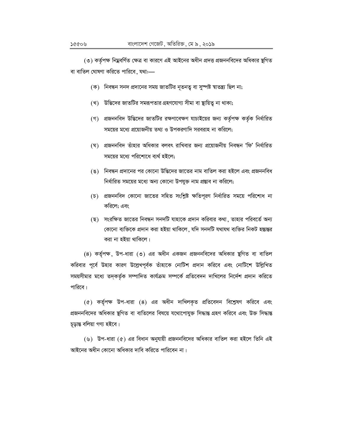(৩) কর্তৃপক্ষ নিম্নবর্ণিত ক্ষেত্র বা কারণে এই আইনের অধীন প্রদত্ত প্রজননবিদের অধিকার ষ্থগিত বা বাতিল ঘোষণা করিতে পারিবে, যথা:-

- (ক) নিবন্ধন সনদ প্রদানের সময় জাতটির নৃতনতু বা সুস্পষ্ট শ্বাতন্ত্র্য ছিল না;
- (খ) উদ্ভিদের জাতটির সমরূপতার গ্রহণযোগ্য সীমা বা স্থায়িত্ব না থাকা;
- (গ) প্রজননবিদ উদ্ভিদের জাতটির রক্ষণাবেক্ষণ যাচাইয়ের জন্য কর্তৃপক্ষ কর্তৃক নির্ধারিত সময়ের মধ্যে প্রয়োজনীয় তথ্য ও উপকরণাদি সরবরাহ না করিলে;
- (ঘ) প্রজননবিদ তাঁহার অধিকার বলবৎ রাখিবার জন্য প্রয়োজনীয় নিবন্ধন 'ফি' নির্ধারিত সময়ের মধ্যে পরিশোধে ব্যর্থ হইলে:
- (ঙ) নিবন্ধন প্রদানের পর কোনো উদ্ভিদের জাতের নাম বাতিল করা হইলে এবং প্রজননবিধ নির্ধারিত সময়ের মধ্যে অন্য কোনো উপযুক্ত নাম প্রস্তাব না করিলে;
- (চ) প্রজননবিদ কোনো জাতের সহিত সংশ্লিষ্ট ক্ষতিপূরণ নির্ধারিত সময়ে পরিশোধ না করিলে; এবং
- (ছ) সংরক্ষিত জাতের নিবন্ধন সনদটি যাহাকে প্রদান করিবার কথা, তাহার পরিবর্তে অন্য কোনো ব্যক্তিকে প্রদান করা হইয়া থাকিলে, যদি সনদটি যথাযথ ব্যক্তির নিকট হস্তান্তর করা না হইয়া থাকিলে।

(8) কর্তৃপক্ষ, উপ-ধারা (৩) এর অধীন একজন প্রজননবিদের অধিকার ছগিত বা বাতিল করিবার পূর্বে উহার কারণ উল্লেখপূর্বক তাঁহাকে নোটিশ প্রদান করিবে এবং নোটিশে উল্লিখিত সময়সীমার মধ্যে তদ্কর্তৃক সম্পাদিত কার্যক্রম সম্পর্কে প্রতিবেদন দাখিলের নির্দেশ প্রদান করিতে পারিবে।

(৫) কর্তৃপক্ষ উপ-ধারা (৪) এর অধীন দাখিলকৃত প্রতিবেদন বিশ্লেষণ করিবে এবং প্রজননবিদের অধিকার ষ্থগিত বা বাতিলের বিষয়ে যথোপোযুক্ত সিদ্ধান্ত গ্রহণ করিবে এবং উক্ত সিদ্ধান্ত চূড়ান্ত বলিয়া গণ্য হইবে।

(৬) উপ-ধারা (৫) এর বিধান অনুযায়ী প্রজননবিদের অধিকার বাতিল করা হইলে তিনি এই আইনের অধীন কোনো অধিকার দাবি করিতে পারিবেন না।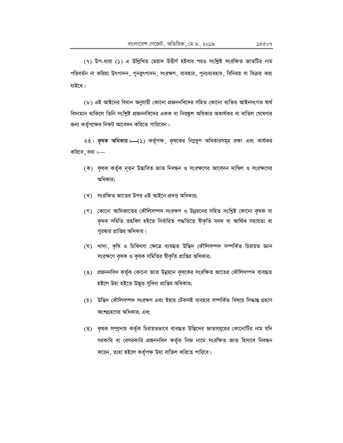(৭) উপ-ধারা (১) এ উল্লিখিত মেয়াদ উত্তীর্ণ হইবার পরও সংশ্লিষ্ট সংরক্ষিত জাতটির নাম পরিবর্তন না করিয়া উৎপাদন, পুনরুৎপাদন, সংরক্ষণ, ব্যবহার, পুনঃব্যবহার, বিনিময় বা বিক্রয় করা যাইবে।

(৮) এই আইনের বিধান অনুযায়ী কোনো প্রজননবিদের সহিত কোনো ব্যক্তির আইনসংগত স্বার্থ বিদ্যমান থাকিলে তিনি সংশ্লিষ্ট প্রজননবিদের একক বা নিরষ্কুশ অধিকার অকার্যকর বা বাতিল ঘোষণার জন্য কর্তৃপক্ষের নিকট আবেদন করিতে পারিবেন।

২৩। কৃষক অধিকার। (১) কর্তৃপক্ষ, কৃষকের নিম্নরূপ অধিকারসমূহ রক্ষা এবং কার্যকর করিবে, যথা  $\longleftarrow$ 

- (ক) কৃষক কর্তৃক নূতন উদ্ভাবিত জাত নিবন্ধন ও সংরক্ষণের আবেদন দাখিল ও সংরক্ষণের অধিকার:
- (খ) সংরক্ষিত জাতের উপর এই আইনে প্রদত্ত অধিকার;
- (গ) কোনো আদিজাতের কৌলিসম্পদ সংরক্ষণ ও উন্নয়নের সহিত সংশ্লিষ্ট কোনো কৃষক বা কৃষক সমিতি তহবিল হইতে নিৰ্ধারিত পদ্ধতিতে শ্বীকৃতি সনদ বা আৰ্থিক সহায়তা বা পুরষ্কার প্রাপ্তির অধিকার।
- (ঘ) খাদ্য, কৃষি ও চিকিৎসা ক্ষেত্রে ব্যবহৃত উদ্ভিদ কৌলিসম্পদ সম্পর্কিত চিরায়ত জ্ঞান সংরক্ষণে কৃষক ও কৃষক সমিতির স্বীকৃতি প্রাপ্তির অধিকার;
- (ঙ) প্রজননবিদ কর্তৃক কোনো জাত উন্নয়নে কৃষকের সংরক্ষিত জাতের কৌলিসম্পদ ব্যবহৃত হইলে উহা হইতে উদ্ভূত সুবিধা প্ৰাপ্তির অধিকার;
- (চ) উদ্ভিদ কৌলিসম্পদ সংরক্ষণ এবং ইহার টেকসই ব্যবহার সম্পর্কিত বিষয়ে সিদ্ধান্ত গ্রহণে অংশগ্রহণের অধিকার; এবং
- (ছ) কৃষক সম্প্রদায় কর্তৃক চিরায়তভাবে ব্যবহৃত উদ্ভিদের জাতসমূহের কোনোটির নাম যদি সরকারি বা বেসরকারি প্রজননবিদ কর্তৃক নিজ নামে সংরক্ষিত জাত হিসাবে নিবন্ধন করেন, তাহা হইলে কর্তৃপক্ষ উহা বাতিল করিতে পারিবে।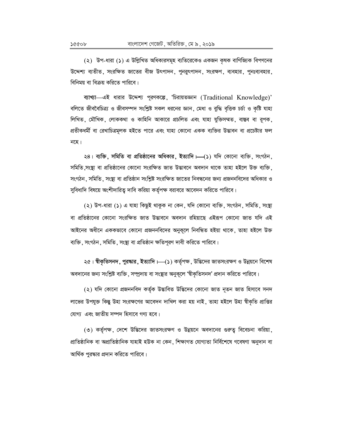(২) উপ-ধারা (১) এ উল্লিখিত অধিকারসমূহ ব্যতিরেকেও একজন কৃষক বাণিজ্যিক বিপণনের উদ্দেশ্য ব্যতীত, সংরক্ষিত জাতের বীজ উৎপাদন, পুনরুৎপাদন, সংরক্ষণ, ব্যবহার, পুনঃব্যবহার, বিনিময় বা বিক্রয় করিতে পারিবে।

ব্যাখ্যা—এই ধারার উদ্দেশ্য পূরণকল্পে, 'চিরায়তজ্ঞান (Traditional Knowledge)' বলিতে জীববৈচিত্র্য ও জীবসম্পদ সংশ্লিষ্ট সকল ধরনের জ্ঞান, মেধা ও বুদ্ধি বৃত্তিক চর্চা ও কৃষ্টি যাহা লিখিত, মৌখিক, লোককথা ও কাহিনি আকারে প্রচলিত এবং যাহা যুক্তিসম্মত, বাস্তব বা রূপক, প্রতীকধর্মী বা রেখাচিত্রমূলক হইতে পারে এবং যাহা কোনো একক ব্যক্তির উদ্ভাবন বা প্রচেষ্টার ফল নহে।

২৪। ব্যক্তি, সমিতি বা প্রতিষ্ঠানের অধিকার, ইত্যাদি।—(১) যদি কোনো ব্যক্তি, সংগঠন, সমিতি সংয্থা বা প্রতিষ্ঠানের কোনো সংরক্ষিত জাত উদ্ভাবনে অবদান থাকে তাহা হইলে উক্ত ব্যক্তি সংগঠন, সমিতি, সংষ্থা বা প্রতিষ্ঠান সংশ্লিষ্ট সংরক্ষিত জাতের নিবন্ধনের জন্য প্রজননবিদের অধিকার ও সুবিধাদি বিষয়ে অংশীদারিত্ব দাবি করিয়া কর্তৃপক্ষ বরাবরে আবেদন করিতে পারিবে।

(২) উপ-ধারা (১) এ যাহা কিছুই থাকুক না কেন, যদি কোনো ব্যক্তি, সংগঠন, সমিতি, সংষ্থা বা প্রতিষ্ঠানের কোনো সংরক্ষিত জাত উদ্ভাবনে অবদান রহিয়াছে এইরূপ কোনো জাত যদি এই আইনের অধীনে এককভাবে কোনো প্রজননবিদের অনুকূলে নিবন্ধিত হইয়া থাকে, তাহা হইলে উক্ত ব্যক্তি, সংগঠন, সমিতি, সংষ্থা বা প্রতিষ্ঠান ক্ষতিপূরণ দাবী করিতে পারিবে।

২৫। শ্বীকৃতিসনদ, পুরষ্কার, ইত্যাদি।—(১) কর্তৃপক্ষ, উদ্ভিদের জাতসংরক্ষণ ও উন্নয়নে বিশেষ অবদানের জন্য সংশ্লিষ্ট ব্যক্তি, সম্প্রদায় বা সংস্থার অনুকূলে 'শ্বীকৃতিসনদ' প্রদান করিতে পারিবে।

(২) যদি কোনো প্রজননবিদ কর্তৃক উদ্ভাবিত উদ্ভিদের কোনো জাত নূতন জাত হিসাবে সনদ লাভের উপযুক্ত কিন্তু উহা সংরক্ষণের আবেদন দাখিল করা হয় নাই , তাহা হইলে উহা শ্বীকৃতি প্রাপ্তির যোগ্য এবং জাতীয় সম্পদ হিসাবে গণ্য হবে।

(৩) কর্তৃপক্ষ, দেশে উদ্ভিদের জাতসংরক্ষণ ও উন্নয়নে অবদানের গুরুত্ব বিবেচনা করিয়া, প্ৰাতিষ্ঠানিক বা অপ্ৰাতিষ্ঠানিক যাহাই হউক না কেন, শিক্ষাগত যোগ্যতা নিৰ্বিশেষে গবেষণা অনুদান বা আর্থিক পুরস্কার প্রদান করিতে পারিবে।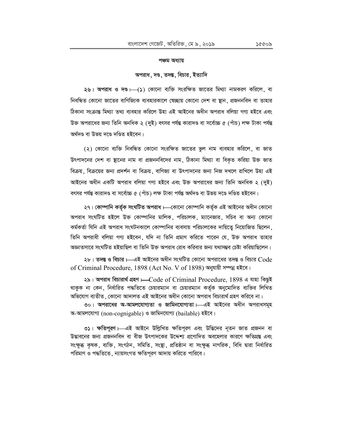#### পঞ্চম অধ্যায়

#### অপরাধ, দণ্ড, তদন্ত, বিচার, ইত্যাদি

২৬। অপরাধ ও দণ্ড।—(১) কোনো ব্যক্তি সংরক্ষিত জাতের মিথ্যা নামকরণ করিলে, বা নিবন্ধিত কোনো জাতের বাণিজ্যিক ব্যবহারকালে স্বেচ্ছায় কোনো দেশ বা স্থান, প্রজননবিদ বা তাহার ঠিকানা সংক্রান্ত মিথ্যা তথ্য ব্যবহার করিলে উহা এই আইনের অধীন অপরাধ বলিয়া গণ্য হইবে এবং উক্ত অপরাধের জন্য তিনি অনধিক ২ (দুই) বৎসর পর্যন্ত কারাদণ্ড বা সর্বোচ্চ ৫ (পাঁচ) লক্ষ টাকা পর্যন্ত অৰ্থদণ্ড বা উভয় দণ্ডে দণ্ডিত হইবেন।

(২) কোনো ব্যক্তি নিবন্ধিত কোনো সংরক্ষিত জাতের ভুল নাম ব্যবহার করিলে, বা জাত উৎপাদনের দেশ বা ছানের নাম বা প্রজননবিদের নাম, ঠিকানা মিথ্যা বা বিকৃত করিয়া উক্ত জাত বিক্রয়, বিক্রয়ের জন্য প্রদর্শন বা বিক্রয়, বাণিজ্য বা উৎপাদনের জন্য নিজ দখলে রাখিলে উহা এই আইনের অধীন একটি অপরাধ বলিয়া গণ্য হইবে এবং উক্ত অপরাধের জন্য তিনি অনধিক ২ (দুই) বৎসর পর্যন্ত কারাদণ্ড বা সর্বোচ্চ ৫ (পাঁচ) লক্ষ টাকা পর্যন্ত অর্থদণ্ড বা উভয় দণ্ডে দণ্ডিত হইবেন।

২৭। কোম্পানি কর্তৃক সংঘটিত অপরাধ।—কোনো কোম্পানি কর্তৃক এই আইনের অধীন কোনো অপরাধ সংঘটিত হইলে উক্ত কোম্পানির মালিক, পরিচালক, ম্যানেজার, সচিব বা অন্য কোনো কর্মকর্তা যিনি এই অপরাধ সংঘটনকালে কোম্পানির ব্যবসায় পরিচালকের দায়িতে নিয়োজিত ছিলেন, তিনি অপরাধী বলিয়া গণ্য হইবেন, যদি না তিনি প্রমাণ করিতে পারেন যে, উক্ত অপরাধ তাহার অজ্ঞাতসারে সংঘটিত হইয়াছিল বা তিনি উক্ত অপরাধ রোধ করিবার জন্য যথাসম্ভব চেষ্টা করিয়াছিলেন।

২৮। তদন্ত ও বিচার।—এই আইনের অধীন সংঘটিত কোনো অপরাধের তদন্ত ও বিচার  $Code$ of Criminal Procedure, 1898 (Act No. V of 1898) অনুযায়ী সম্পন্ন হইবে।

২৯। অপরাধ বিচারার্থ গ্রহণ HCode of Criminal Procedure, 1898 এ যাহা কিছুই থাকুক না কেন, নিৰ্ধারিত পদ্ধতিতে চেয়ারম্যান বা চেয়ারম্যান কর্তৃক অনুমোদিত ব্যক্তির লিখিত অভিযোগ ব্যতীত, কোনো আদালত এই আইনের অধীন কোনো অপরাধ বিচারার্থ গ্রহণ করিবে না।

৩০। অপরাধের অ-আমলযোগ্যতা ও জামিনযোগ্যতা। এই আইনের অধীন অপরাধসমূহ অ-আমলযোগ্য (non-cognigable) ও জামিনযোগ্য (bailable) হইবে।

৩১। ক্ষতিপুরণ।—এই আইনে উল্লিখিত ক্ষতিপূরণ এবং উদ্ভিদের নৃতন জাত প্রজনন বা উদ্ভাবনের জন্য প্রজননবিদ বা বীজ উৎপাদকের উদ্দেশ্য প্রণোদিত অবহেলার কারণে ক্ষতিগ্রস্ত এবং সংক্ষুব্ধ কৃষক, ব্যক্তি, সংগঠন, সমিতি, সংষ্থা, প্রতিষ্ঠান বা সংক্ষুব্ধ নাগরিক, বিধি দ্বারা নির্ধারিত পরিমাণ ও পদ্ধতিতে , ন্যায়সংগত ক্ষতিপূরণ আদায় করিতে পারিবে।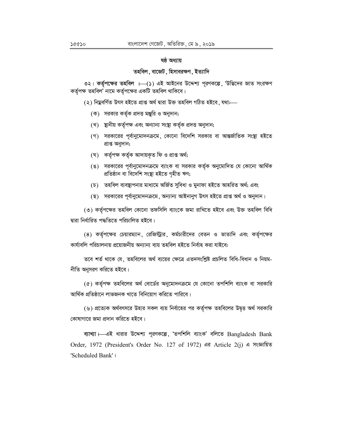#### ষষ্ঠ অধ্যায়

### তহবিল, বাজেট, হিসাবরক্ষণ, ইত্যাদি

৩২। কর্তৃপক্ষের তহবিল । (১) এই আইনের উদ্দেশ্য পূরণকল্পে, 'উদ্ভিদের জাত সংরক্ষণ কর্তৃপক্ষ তহবিল' নামে কর্তৃপক্ষের একটি তহবিল থাকিবে।

(২) নিম্নবৰ্ণিত উৎস হইতে প্ৰাপ্ত অৰ্থ দ্বারা উক্ত তহবিল গঠিত হইবে , যথাঃ—

- (ক) সরকার কর্তৃক প্রদত্ত মঞ্জুরি ও অনুদান;
- (খ) স্থানীয় কৰ্তৃপক্ষ এবং অন্যান্য সংস্থা কৰ্তৃক প্ৰদত্ত অনুদান;
- (গ) সরকারের পূর্বানুমোদনক্রমে, কোনো বিদেশি সরকার বা আন্তর্জাতিক সংস্থা হইতে প্ৰাপ্ত অনুদান;
- (ঘ) কৰ্তৃপক্ষ কৰ্তৃক আদায়কৃত ফি ও প্ৰাপ্ত অৰ্থ;
- (ঙ) সরকারের পূর্বানুমোদনক্রমে ব্যাংক বা সরকার কর্তৃক অনুমোদিত যে কোনো আর্থিক প্ৰতিষ্ঠান বা বিদেশি সংস্থা হইতে গৃহীত ঋণ;
- (চ) তহবিল ব্যবস্থাপনার মাধ্যমে অর্জিত সুবিধা ও মুনাফা হইতে আহরিত অর্থ; এবং
- (ছ) সরকারের পূর্বানুমোদনক্রমে, অন্যান্য আইনানুগ উৎস হইতে প্রাপ্ত অর্থ ও অনুদান।

(৩) কর্তৃপক্ষের তহবিল কোনো তফসিলি ব্যাংকে জমা রাখিতে হইবে এবং উক্ত তহবিল বিধি দ্বারা নির্ধারিত পদ্ধতিতে পরিচালিত হইবে।

(৪) কর্তৃপক্ষের চেয়ারম্যান, রেজিস্ট্রার, কর্মচারীদের বেতন ও ভাতাদি এবং কর্তৃপক্ষের কাৰ্যাবলি পরিচালনায় প্রয়োজনীয় অন্যান্য ব্যয় তহবিল হইতে নির্বাহ করা যাইবে:

তবে শর্ত থাকে যে, তহবিলের অর্থ ব্যয়ের ক্ষেত্রে এতদসংশ্লিষ্ট প্রচলিত বিধি-বিধান ও নিয়ম-নীতি অনুসরণ করিতে হইবে।

(৫) কর্তৃপক্ষ তহবিলের অর্থ বোর্ডের অনুমোদনক্রমে যে কোনো তপশিলি ব্যাংক বা সরকারি আৰ্থিক প্ৰতিষ্ঠানে লাভজনক খাতে বিনিয়োগ করিতে পারিবে।

(৬) প্রত্যেক অর্থবৎসরে উহার সকল ব্যয় নির্বাহের পর কর্তৃপক্ষ তহবিলের উদ্বত্ত অর্থ সরকারি কোষাগারে জমা প্রদান করিতে হইবে।

ব্যাখ্যা  $-$ এই ধারার উদ্দেশ্য পূরণকল্পে, 'তপশিলি ব্যাংক' বলিতে Bangladesh Bank Order, 1972 (President's Order No. 127 of 1972) এর Article 2(j) এ সংজ্ঞায়িত 'Scheduled Bank' |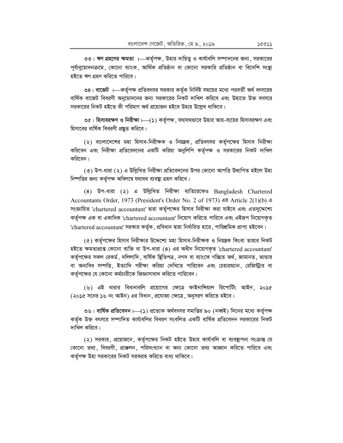৩৩। ঋণ গ্রহণের ক্ষমতা ।—কর্তৃপক্ষ, উহার দায়িত্ব ও কার্যাবলি সম্পাদনের জন্য, সরকারের পূর্বানুমোদনক্রমে, কোনো ব্যাংক, আর্থিক প্রতিষ্ঠান বা কোনো সরকারি প্রতিষ্ঠান বা বিদেশি সংষ্থা হইতে ঋণ গ্ৰহণ করিতে পারিবে।

৩৪। বাজেট । কর্তৃপক্ষ প্রতিবৎসর সরকার কর্তৃক নির্দিষ্ট সময়ের মধ্যে পরবর্তী অর্থ বৎসরের বার্ষিক বাজেট বিবরণী অনুমোদনের জন্য সরকারের নিকট দাখিল করিবে এবং উহাতে উক্ত বৎসরে সরকারের নিকট হইতে কী পরিমাণ অর্থ প্রয়োজন হইবে উহার উল্লেখ থাকিবে।

৩৫। হিসাবরক্ষণ ও নিরীক্ষা।—(১) কর্তৃপক্ষ, যথাযথভাবে উহার আয়-ব্যয়ের হিসাবরক্ষণ এবং হিসাবের বার্ষিক বিবরণী প্রষ্যুত করিবে।

(২) বাংলাদেশের মহা হিসাব-নিরীক্ষক ও নিয়ন্ত্রক, প্রতিবৎসর কর্তৃপক্ষের হিসাব নিরীক্ষা করিবেন এবং নিরীক্ষা প্রতিবেদনের একটি করিয়া অনুলিপি কর্তৃপক্ষ ও সরকারের নিকট দাখিল করিবেন।

(৩) উপ-ধারা (২) এ উল্লিখিত নিরীক্ষা প্রতিবেদনের উপর কোনো আপত্তি উত্থাপিত হইলে উহা নিষ্পত্তির জন্য কর্তৃপক্ষ অবিলম্বে যথাযথ ব্যবস্থা গ্রহণ করিবে।

 $(8)$  উপ-ধারা  $(3)$  এ উল্লিখিত নিরীক্ষা ব্যতিরেকেও Bangladesh Chartered Accountants Order, 1973 (President's Order No. 2 of 1973) এর Article 2(1)(b) এ সংজ্ঞায়িত 'chartered accountant' দ্বারা কর্তৃপক্ষের হিসাব নিরীক্ষা করা যাইবে এবং এতদুদ্দেশ্যে কর্তৃপক্ষ এক বা একাধিক 'chartered accountant' নিয়োগ করিতে পারিবে এবং এইরূপ নিয়োগকৃত 'chartered accountant' সরকার কর্তৃক, প্রবিধান দ্বারা নির্ধারিত হারে, পারিশ্রমিক প্রাপ্য হইবেন।

(৫) কর্তৃপক্ষের হিসাব নিরীক্ষার উদ্দেশ্যে মহা হিসাব-নিরীক্ষক ও নিয়ন্ত্রক কিংবা তাহার নিকট হইতে ক্ষমতাপ্ৰাপ্ত কোনো ব্যক্তি বা উপ-ধারা (8) এর অধীন নিয়োগকৃত 'chartered accountant' কর্তৃপক্ষের সকল রেকর্ড, দলিলাদি, বার্ষিক ছিতিপত্র, নগদ বা ব্যাংকে গচ্ছিত অর্থ, জামানত, ভান্ডার বা অন্যবিধ সম্পত্তি, ইত্যাদি পরীক্ষা করিয়া দেখিতে পারিবেন এবং চেয়ারম্যান, রেজিস্ট্রার বা কর্তৃপক্ষের যে কোনো কর্মচারীকে জিজ্ঞাসাবাদ করিতে পারিবেন।

(৬) এই ধারার বিধানাবলি প্রয়োগের ক্ষেত্রে ফাইনাসিয়াল রিপোর্টিং আইন, ২০১৫ (২০১৫ সনের ১৬ নং আইন) এর বিধান, প্রযোজ্য ক্ষেত্রে, অনুসরণ করিতে হইবে।

৩৬। বার্ষিক প্রতিবেদন।—(১) প্রত্যেক অর্থবৎসর সমাপ্তির ৯০ (নব্বই) দিনের মধ্যে কর্তৃপক্ষ কর্তৃক উক্ত বৎসরে সম্পাদিত কার্যাবলির বিবরণ সংবলিত একটি বার্ষিক প্রতিবেদন সরকারের নিকট দাখিল করিবে।

(২) সরকার, প্রয়োজনে, কর্তৃপক্ষের নিকট হইতে উহার কার্যাবলি বা ব্যবন্থাপনা সংক্রান্ত যে কোনো তথ্য, বিবরণী, প্রাক্কলন, পরিসংখ্যান বা অন্য কোনো তথ্য আহ্বান করিতে পারিবে এবং কর্তৃপক্ষ উহা সরকারের নিকট সরবরাহ করিতে বাধ্য থাকিবে।